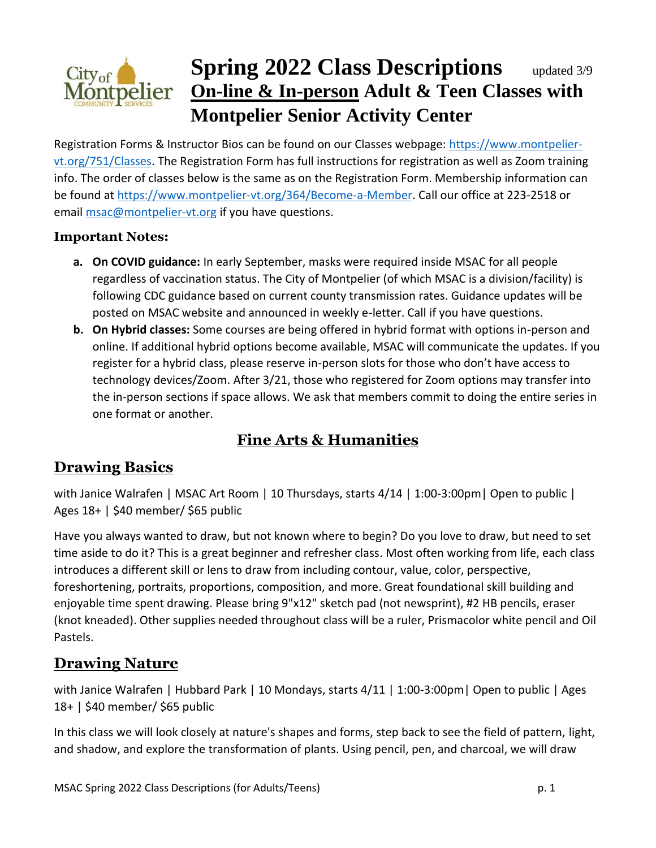

# **Spring 2022 Class Descriptions** updated 3/9 **On-line & In-person Adult & Teen Classes with Montpelier Senior Activity Center**

Registration Forms & Instructor Bios can be found on our Classes webpage: [https://www.montpelier](https://www.montpelier-vt.org/751/Classes)[vt.org/751/Classes.](https://www.montpelier-vt.org/751/Classes) The Registration Form has full instructions for registration as well as Zoom training info. The order of classes below is the same as on the Registration Form. Membership information can be found at [https://www.montpelier-vt.org/364/Become-a-Member.](https://www.montpelier-vt.org/364/Become-a-Member) Call our office at 223-2518 or email [msac@montpelier-vt.org](mailto:msac@montpelier-vt.org) if you have questions.

#### **Important Notes:**

- **a. On COVID guidance:** In early September, masks were required inside MSAC for all people regardless of vaccination status. The City of Montpelier (of which MSAC is a division/facility) is following CDC guidance based on current county transmission rates. Guidance updates will be posted on MSAC website and announced in weekly e-letter. Call if you have questions.
- **b. On Hybrid classes:** Some courses are being offered in hybrid format with options in-person and online. If additional hybrid options become available, MSAC will communicate the updates. If you register for a hybrid class, please reserve in-person slots for those who don't have access to technology devices/Zoom. After 3/21, those who registered for Zoom options may transfer into the in-person sections if space allows. We ask that members commit to doing the entire series in one format or another.

## **Fine Arts & Humanities**

## **Drawing Basics**

with Janice Walrafen | MSAC Art Room | 10 Thursdays, starts 4/14 | 1:00-3:00pm | Open to public | Ages 18+ | \$40 member/ \$65 public

Have you always wanted to draw, but not known where to begin? Do you love to draw, but need to set time aside to do it? This is a great beginner and refresher class. Most often working from life, each class introduces a different skill or lens to draw from including contour, value, color, perspective, foreshortening, portraits, proportions, composition, and more. Great foundational skill building and enjoyable time spent drawing. Please bring 9"x12" sketch pad (not newsprint), #2 HB pencils, eraser (knot kneaded). Other supplies needed throughout class will be a ruler, Prismacolor white pencil and Oil Pastels.

## **Drawing Nature**

with Janice Walrafen | Hubbard Park | 10 Mondays, starts 4/11 | 1:00-3:00pm | Open to public | Ages 18+ | \$40 member/ \$65 public

In this class we will look closely at nature's shapes and forms, step back to see the field of pattern, light, and shadow, and explore the transformation of plants. Using pencil, pen, and charcoal, we will draw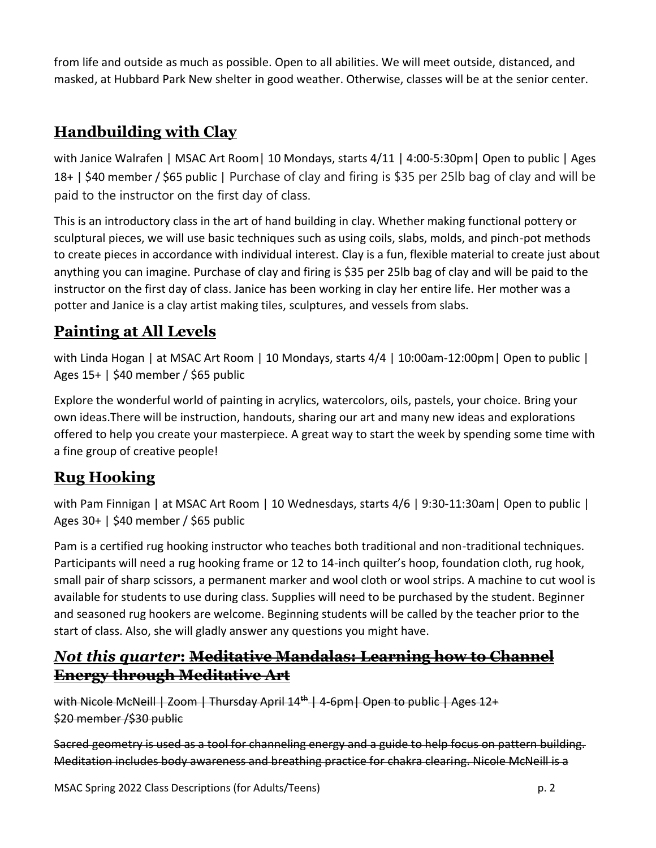from life and outside as much as possible. Open to all abilities. We will meet outside, distanced, and masked, at Hubbard Park New shelter in good weather. Otherwise, classes will be at the senior center.

## **Handbuilding with Clay**

with Janice Walrafen | MSAC Art Room | 10 Mondays, starts 4/11 | 4:00-5:30pm | Open to public | Ages 18+ | \$40 member / \$65 public | Purchase of clay and firing is \$35 per 25lb bag of clay and will be paid to the instructor on the first day of class.

This is an introductory class in the art of hand building in clay. Whether making functional pottery or sculptural pieces, we will use basic techniques such as using coils, slabs, molds, and pinch-pot methods to create pieces in accordance with individual interest. Clay is a fun, flexible material to create just about anything you can imagine. Purchase of clay and firing is \$35 per 25lb bag of clay and will be paid to the instructor on the first day of class. Janice has been working in clay her entire life. Her mother was a potter and Janice is a clay artist making tiles, sculptures, and vessels from slabs.

## **Painting at All Levels**

with Linda Hogan | at MSAC Art Room | 10 Mondays, starts  $4/4$  | 10:00am-12:00pm | Open to public | Ages 15+ | \$40 member / \$65 public

Explore the wonderful world of painting in acrylics, watercolors, oils, pastels, your choice. Bring your own ideas.There will be instruction, handouts, sharing our art and many new ideas and explorations offered to help you create your masterpiece. A great way to start the week by spending some time with a fine group of creative people!

## **Rug Hooking**

with Pam Finnigan | at MSAC Art Room | 10 Wednesdays, starts 4/6 | 9:30-11:30am | Open to public | Ages 30+ | \$40 member / \$65 public

Pam is a certified rug hooking instructor who teaches both traditional and non-traditional techniques. Participants will need a rug hooking frame or 12 to 14-inch quilter's hoop, foundation cloth, rug hook, small pair of sharp scissors, a permanent marker and wool cloth or wool strips. A machine to cut wool is available for students to use during class. Supplies will need to be purchased by the student. Beginner and seasoned rug hookers are welcome. Beginning students will be called by the teacher prior to the start of class. Also, she will gladly answer any questions you might have.

## *Not this quarter***: Meditative Mandalas: Learning how to Channel Energy through Meditative Art**

with Nicole McNeill | Zoom | Thursday April 14<sup>th</sup> | 4-6pm | Open to public | Ages 12+ \$20 member /\$30 public

Sacred geometry is used as a tool for channeling energy and a guide to help focus on pattern building. Meditation includes body awareness and breathing practice for chakra clearing. Nicole McNeill is a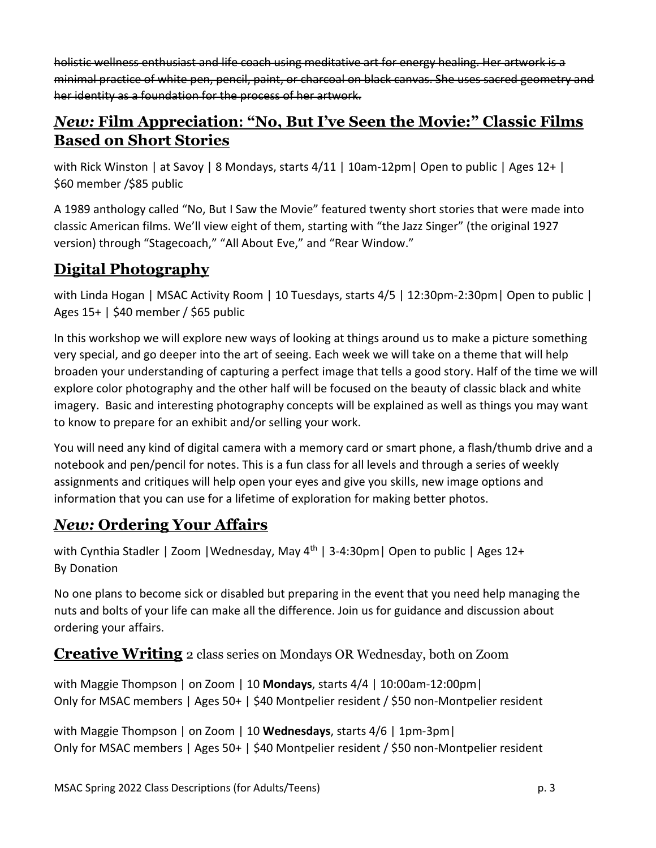holistic wellness enthusiast and life coach using meditative art for energy healing. Her artwork is a minimal practice of white pen, pencil, paint, or charcoal on black canvas. She uses sacred geometry and her identity as a foundation for the process of her artwork.

## *New:* **Film Appreciation: "No, But I've Seen the Movie:" Classic Films Based on Short Stories**

with Rick Winston | at Savoy | 8 Mondays, starts  $4/11$  | 10am-12pm | Open to public | Ages 12+ | \$60 member /\$85 public

A 1989 anthology called "No, But I Saw the Movie" featured twenty short stories that were made into classic American films. We'll view eight of them, starting with "the Jazz Singer" (the original 1927 version) through "Stagecoach," "All About Eve," and "Rear Window."

## **Digital Photography**

with Linda Hogan | MSAC Activity Room | 10 Tuesdays, starts 4/5 | 12:30pm-2:30pm | Open to public | Ages 15+ | \$40 member / \$65 public

In this workshop we will explore new ways of looking at things around us to make a picture something very special, and go deeper into the art of seeing. Each week we will take on a theme that will help broaden your understanding of capturing a perfect image that tells a good story. Half of the time we will explore color photography and the other half will be focused on the beauty of classic black and white imagery. Basic and interesting photography concepts will be explained as well as things you may want to know to prepare for an exhibit and/or selling your work.

You will need any kind of digital camera with a memory card or smart phone, a flash/thumb drive and a notebook and pen/pencil for notes. This is a fun class for all levels and through a series of weekly assignments and critiques will help open your eyes and give you skills, new image options and information that you can use for a lifetime of exploration for making better photos.

## *New:* **Ordering Your Affairs**

with Cynthia Stadler | Zoom | Wednesday, May 4<sup>th</sup> | 3-4:30pm| Open to public | Ages 12+ By Donation

No one plans to become sick or disabled but preparing in the event that you need help managing the nuts and bolts of your life can make all the difference. Join us for guidance and discussion about ordering your affairs.

**Creative Writing** 2 class series on Mondays OR Wednesday, both on Zoom

with Maggie Thompson | on Zoom | 10 **Mondays**, starts 4/4 | 10:00am-12:00pm| Only for MSAC members | Ages 50+ | \$40 Montpelier resident / \$50 non-Montpelier resident

with Maggie Thompson | on Zoom | 10 **Wednesdays**, starts 4/6 | 1pm-3pm| Only for MSAC members | Ages 50+ | \$40 Montpelier resident / \$50 non-Montpelier resident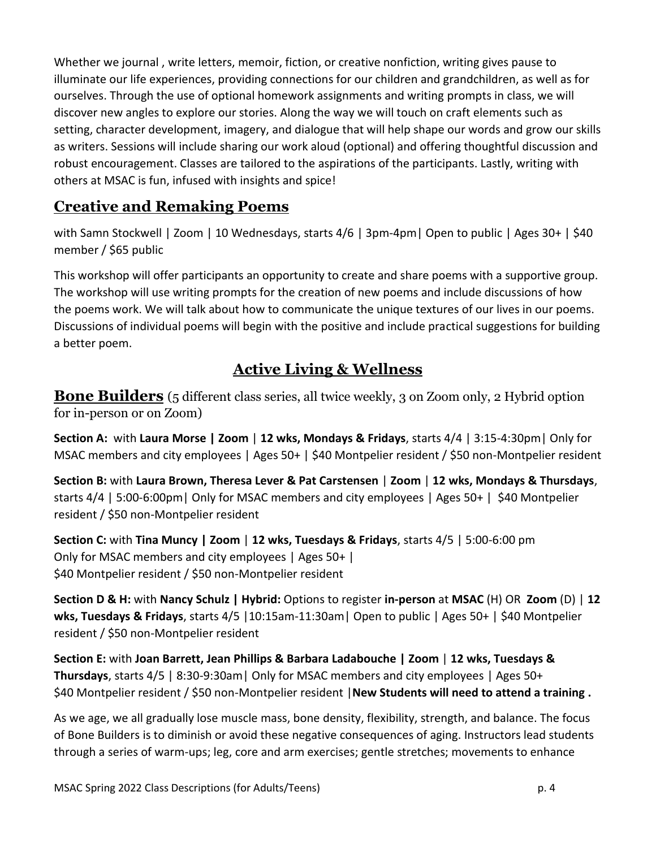Whether we journal , write letters, memoir, fiction, or creative nonfiction, writing gives pause to illuminate our life experiences, providing connections for our children and grandchildren, as well as for ourselves. Through the use of optional homework assignments and writing prompts in class, we will discover new angles to explore our stories. Along the way we will touch on craft elements such as setting, character development, imagery, and dialogue that will help shape our words and grow our skills as writers. Sessions will include sharing our work aloud (optional) and offering thoughtful discussion and robust encouragement. Classes are tailored to the aspirations of the participants. Lastly, writing with others at MSAC is fun, infused with insights and spice!

## **Creative and Remaking Poems**

with Samn Stockwell | Zoom | 10 Wednesdays, starts 4/6 | 3pm-4pm | Open to public | Ages 30+ | \$40 member / \$65 public

This workshop will offer participants an opportunity to create and share poems with a supportive group. The workshop will use writing prompts for the creation of new poems and include discussions of how the poems work. We will talk about how to communicate the unique textures of our lives in our poems. Discussions of individual poems will begin with the positive and include practical suggestions for building a better poem.

## **Active Living & Wellness**

**Bone Builders** (5 different class series, all twice weekly, 3 on Zoom only, 2 Hybrid option for in-person or on Zoom)

**Section A:** with **Laura Morse | Zoom** | **12 wks, Mondays & Fridays**, starts 4/4 | 3:15-4:30pm| Only for MSAC members and city employees | Ages 50+ | \$40 Montpelier resident / \$50 non-Montpelier resident

**Section B:** with **Laura Brown, Theresa Lever & Pat Carstensen** | **Zoom** | **12 wks, Mondays & Thursdays**, starts 4/4 | 5:00-6:00pm| Only for MSAC members and city employees | Ages 50+ | \$40 Montpelier resident / \$50 non-Montpelier resident

**Section C:** with **Tina Muncy | Zoom** | **12 wks, Tuesdays & Fridays**, starts 4/5 | 5:00-6:00 pm Only for MSAC members and city employees | Ages 50+ | \$40 Montpelier resident / \$50 non-Montpelier resident

**Section D & H:** with **Nancy Schulz | Hybrid:** Options to register **in-person** at **MSAC** (H) OR **Zoom** (D) | **12 wks, Tuesdays & Fridays**, starts 4/5 |10:15am-11:30am| Open to public | Ages 50+ | \$40 Montpelier resident / \$50 non-Montpelier resident

**Section E:** with **Joan Barrett, Jean Phillips & Barbara Ladabouche | Zoom** | **12 wks, Tuesdays & Thursdays**, starts 4/5 | 8:30-9:30am| Only for MSAC members and city employees | Ages 50+ \$40 Montpelier resident / \$50 non-Montpelier resident |**New Students will need to attend a training .**

As we age, we all gradually lose muscle mass, bone density, flexibility, strength, and balance. The focus of Bone Builders is to diminish or avoid these negative consequences of aging. Instructors lead students through a series of warm-ups; leg, core and arm exercises; gentle stretches; movements to enhance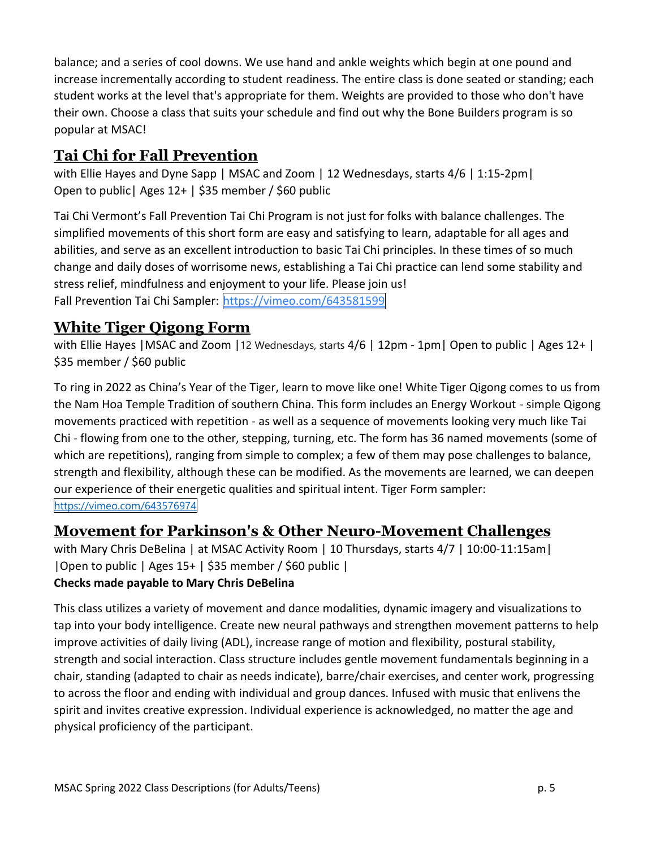balance; and a series of cool downs. We use hand and ankle weights which begin at one pound and increase incrementally according to student readiness. The entire class is done seated or standing; each student works at the level that's appropriate for them. Weights are provided to those who don't have their own. Choose a class that suits your schedule and find out why the Bone Builders program is so popular at MSAC!

## **Tai Chi for Fall Prevention**

with Ellie Hayes and Dyne Sapp | MSAC and Zoom | 12 Wednesdays, starts 4/6 | 1:15-2pm | Open to public| Ages 12+ | \$35 member / \$60 public

Tai Chi Vermont's Fall Prevention Tai Chi Program is not just for folks with balance challenges. The simplified movements of this short form are easy and satisfying to learn, adaptable for all ages and abilities, and serve as an excellent introduction to basic Tai Chi principles. In these times of so much change and daily doses of worrisome news, establishing a Tai Chi practice can lend some stability and stress relief, mindfulness and enjoyment to your life. Please join us!

Fall Prevention Tai Chi Sampler: <https://vimeo.com/643581599>

## **White Tiger Qigong Form**

with Ellie Hayes | MSAC and Zoom | 12 Wednesdays, starts  $4/6$  | 12pm - 1pm | Open to public | Ages 12+ | \$35 member / \$60 public

To ring in 2022 as China's Year of the Tiger, learn to move like one! White Tiger Qigong comes to us from the Nam Hoa Temple Tradition of southern China. This form includes an Energy Workout - simple Qigong movements practiced with repetition - as well as a sequence of movements looking very much like Tai Chi - flowing from one to the other, stepping, turning, etc. The form has 36 named movements (some of which are repetitions), ranging from simple to complex; a few of them may pose challenges to balance, strength and flexibility, although these can be modified. As the movements are learned, we can deepen our experience of their energetic qualities and spiritual intent. Tiger Form sampler: <https://vimeo.com/643576974>

## **Movement for Parkinson's & Other Neuro-Movement Challenges**

with Mary Chris DeBelina | at MSAC Activity Room | 10 Thursdays, starts 4/7 | 10:00-11:15am | |Open to public | Ages 15+ | \$35 member / \$60 public |

#### **Checks made payable to Mary Chris DeBelina**

This class utilizes a variety of movement and dance modalities, dynamic imagery and visualizations to tap into your body intelligence. Create new neural pathways and strengthen movement patterns to help improve activities of daily living (ADL), increase range of motion and flexibility, postural stability, strength and social interaction. Class structure includes gentle movement fundamentals beginning in a chair, standing (adapted to chair as needs indicate), barre/chair exercises, and center work, progressing to across the floor and ending with individual and group dances. Infused with music that enlivens the spirit and invites creative expression. Individual experience is acknowledged, no matter the age and physical proficiency of the participant.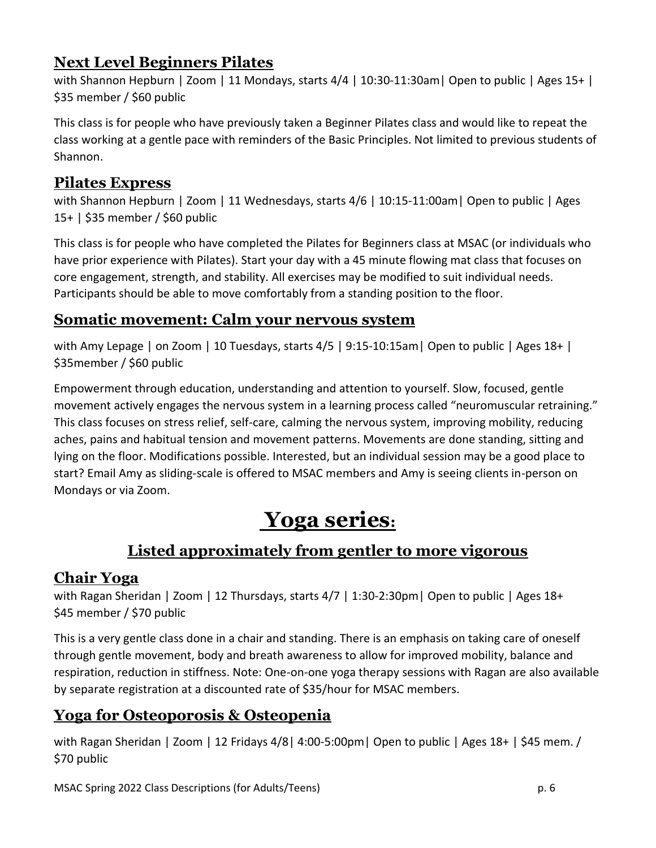#### **Next Level Beginners Pilates**

with Shannon Hepburn | Zoom | 11 Mondays, starts 4/4 | 10:30-11:30am | Open to public | Ages 15+ | \$35 member / \$60 public

This class is for people who have previously taken a Beginner Pilates class and would like to repeat the class working at a gentle pace with reminders of the Basic Principles. Not limited to previous students of Shannon.

#### **Pilates Express**

with Shannon Hepburn | Zoom | 11 Wednesdays, starts 4/6 | 10:15-11:00am | Open to public | Ages 15+ | \$35 member / \$60 public

This class is for people who have completed the Pilates for Beginners class at MSAC (or individuals who have prior experience with Pilates). Start your day with a 45 minute flowing mat class that focuses on core engagement, strength, and stability. All exercises may be modified to suit individual needs. Participants should be able to move comfortably from a standing position to the floor.

#### **Somatic movement: Calm your nervous system**

with Amy Lepage | on Zoom | 10 Tuesdays, starts 4/5 | 9:15-10:15am | Open to public | Ages 18+ | \$35member / \$60 public

Empowerment through education, understanding and attention to yourself. Slow, focused, gentle movement actively engages the nervous system in a learning process called "neuromuscular retraining." This class focuses on stress relief, self-care, calming the nervous system, improving mobility, reducing aches, pains and habitual tension and movement patterns. Movements are done standing, sitting and lying on the floor. Modifications possible. Interested, but an individual session may be a good place to start? Email Amy as sliding-scale is offered to MSAC members and Amy is seeing clients in-person on Mondays or via Zoom.

## **Yoga series:**

#### **Listed approximately from gentler to more vigorous**

#### **Chair Yoga**

with Ragan Sheridan | Zoom | 12 Thursdays, starts 4/7 | 1:30-2:30pm | Open to public | Ages 18+ \$45 member / \$70 public

This is a very gentle class done in a chair and standing. There is an emphasis on taking care of oneself through gentle movement, body and breath awareness to allow for improved mobility, balance and respiration, reduction in stiffness. Note: One-on-one yoga therapy sessions with Ragan are also available by separate registration at a discounted rate of \$35/hour for MSAC members.

#### **Yoga for Osteoporosis & Osteopenia**

with Ragan Sheridan | Zoom | 12 Fridays 4/8 | 4:00-5:00pm | Open to public | Ages 18+ | \$45 mem. / \$70 public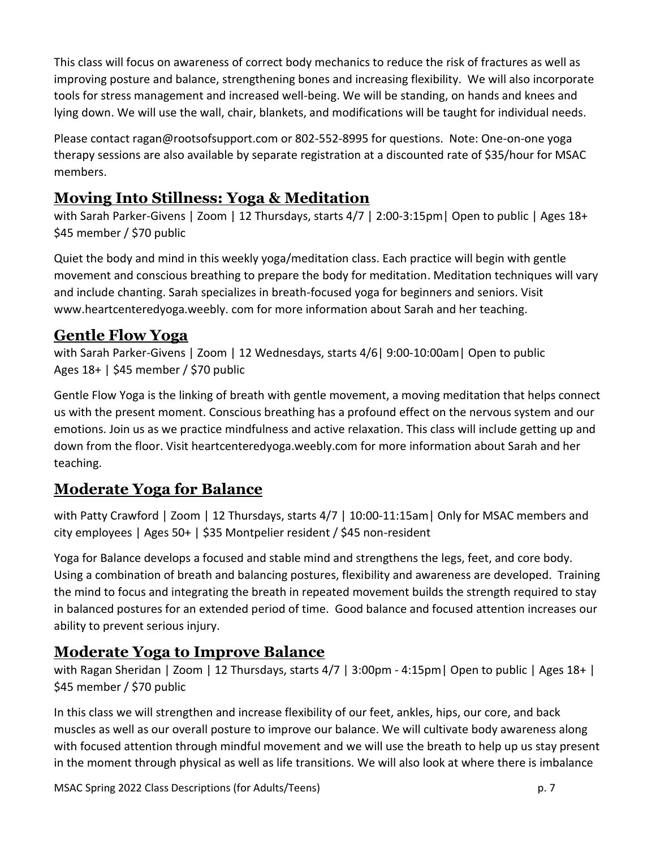This class will focus on awareness of correct body mechanics to reduce the risk of fractures as well as improving posture and balance, strengthening bones and increasing flexibility. We will also incorporate tools for stress management and increased well-being. We will be standing, on hands and knees and lying down. We will use the wall, chair, blankets, and modifications will be taught for individual needs.

Please contact ragan@rootsofsupport.com or 802-552-8995 for questions. Note: One-on-one yoga therapy sessions are also available by separate registration at a discounted rate of \$35/hour for MSAC members.

## **Moving Into Stillness: Yoga & Meditation**

with Sarah Parker-Givens | Zoom | 12 Thursdays, starts 4/7 | 2:00-3:15pm | Open to public | Ages 18+ \$45 member / \$70 public

Quiet the body and mind in this weekly yoga/meditation class. Each practice will begin with gentle movement and conscious breathing to prepare the body for meditation. Meditation techniques will vary and include chanting. Sarah specializes in breath-focused yoga for beginners and seniors. Visit www.heartcenteredyoga.weebly. com for more information about Sarah and her teaching.

#### **Gentle Flow Yoga**

with Sarah Parker-Givens | Zoom | 12 Wednesdays, starts 4/6 | 9:00-10:00am | Open to public Ages 18+ | \$45 member / \$70 public

Gentle Flow Yoga is the linking of breath with gentle movement, a moving meditation that helps connect us with the present moment. Conscious breathing has a profound effect on the nervous system and our emotions. Join us as we practice mindfulness and active relaxation. This class will include getting up and down from the floor. Visit heartcenteredyoga.weebly.com for more information about Sarah and her teaching.

## **Moderate Yoga for Balance**

with Patty Crawford | Zoom | 12 Thursdays, starts 4/7 | 10:00-11:15am | Only for MSAC members and city employees | Ages 50+ | \$35 Montpelier resident / \$45 non-resident

Yoga for Balance develops a focused and stable mind and strengthens the legs, feet, and core body. Using a combination of breath and balancing postures, flexibility and awareness are developed. Training the mind to focus and integrating the breath in repeated movement builds the strength required to stay in balanced postures for an extended period of time. Good balance and focused attention increases our ability to prevent serious injury.

## **Moderate Yoga to Improve Balance**

with Ragan Sheridan | Zoom | 12 Thursdays, starts 4/7 | 3:00pm - 4:15pm | Open to public | Ages 18+ | \$45 member / \$70 public

In this class we will strengthen and increase flexibility of our feet, ankles, hips, our core, and back muscles as well as our overall posture to improve our balance. We will cultivate body awareness along with focused attention through mindful movement and we will use the breath to help up us stay present in the moment through physical as well as life transitions. We will also look at where there is imbalance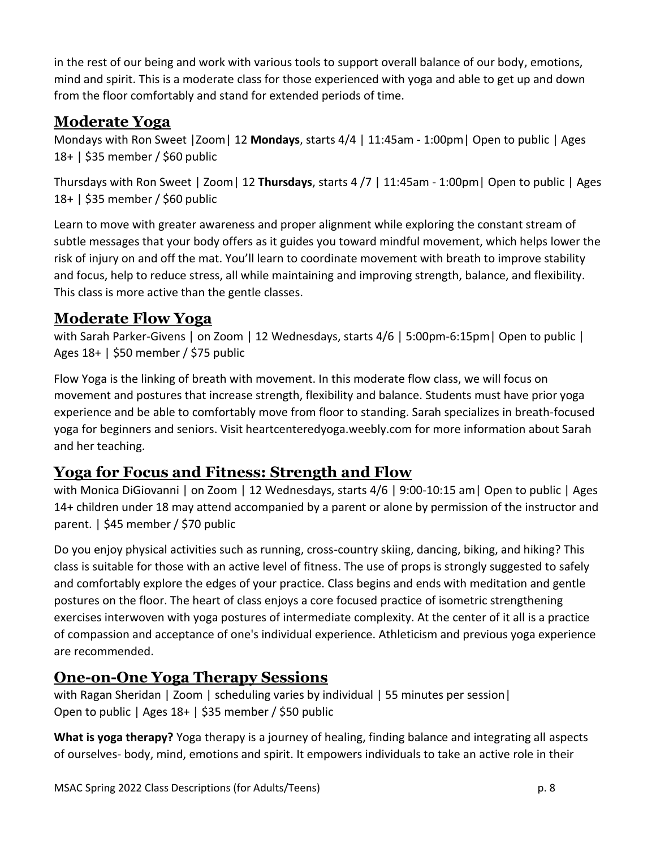in the rest of our being and work with various tools to support overall balance of our body, emotions, mind and spirit. This is a moderate class for those experienced with yoga and able to get up and down from the floor comfortably and stand for extended periods of time.

## **Moderate Yoga**

Mondays with Ron Sweet |Zoom| 12 **Mondays**, starts 4/4 | 11:45am - 1:00pm| Open to public | Ages 18+ | \$35 member / \$60 public

Thursdays with Ron Sweet | Zoom| 12 **Thursdays**, starts 4 /7 | 11:45am - 1:00pm| Open to public | Ages 18+ | \$35 member / \$60 public

Learn to move with greater awareness and proper alignment while exploring the constant stream of subtle messages that your body offers as it guides you toward mindful movement, which helps lower the risk of injury on and off the mat. You'll learn to coordinate movement with breath to improve stability and focus, help to reduce stress, all while maintaining and improving strength, balance, and flexibility. This class is more active than the gentle classes.

## **Moderate Flow Yoga**

with Sarah Parker-Givens | on Zoom | 12 Wednesdays, starts  $4/6$  | 5:00pm-6:15pm | Open to public | Ages 18+ | \$50 member / \$75 public

Flow Yoga is the linking of breath with movement. In this moderate flow class, we will focus on movement and postures that increase strength, flexibility and balance. Students must have prior yoga experience and be able to comfortably move from floor to standing. Sarah specializes in breath-focused yoga for beginners and seniors. Visit heartcenteredyoga.weebly.com for more information about Sarah and her teaching.

## **Yoga for Focus and Fitness: Strength and Flow**

with Monica DiGiovanni | on Zoom | 12 Wednesdays, starts 4/6 | 9:00-10:15 am | Open to public | Ages 14+ children under 18 may attend accompanied by a parent or alone by permission of the instructor and parent. | \$45 member / \$70 public

Do you enjoy physical activities such as running, cross-country skiing, dancing, biking, and hiking? This class is suitable for those with an active level of fitness. The use of props is strongly suggested to safely and comfortably explore the edges of your practice. Class begins and ends with meditation and gentle postures on the floor. The heart of class enjoys a core focused practice of isometric strengthening exercises interwoven with yoga postures of intermediate complexity. At the center of it all is a practice of compassion and acceptance of one's individual experience. Athleticism and previous yoga experience are recommended.

#### **One-on-One Yoga Therapy Sessions**

with Ragan Sheridan | Zoom | scheduling varies by individual | 55 minutes per session | Open to public | Ages 18+ | \$35 member / \$50 public

**What is yoga therapy?** Yoga therapy is a journey of healing, finding balance and integrating all aspects of ourselves- body, mind, emotions and spirit. It empowers individuals to take an active role in their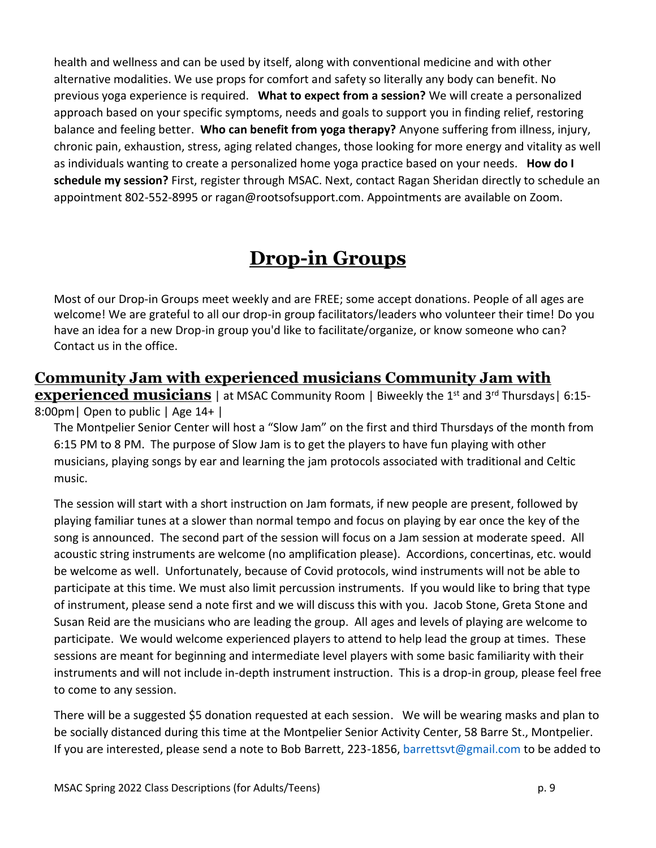health and wellness and can be used by itself, along with conventional medicine and with other alternative modalities. We use props for comfort and safety so literally any body can benefit. No previous yoga experience is required. **What to expect from a session?** We will create a personalized approach based on your specific symptoms, needs and goals to support you in finding relief, restoring balance and feeling better. **Who can benefit from yoga therapy?** Anyone suffering from illness, injury, chronic pain, exhaustion, stress, aging related changes, those looking for more energy and vitality as well as individuals wanting to create a personalized home yoga practice based on your needs. **How do I schedule my session?** First, register through MSAC. Next, contact Ragan Sheridan directly to schedule an appointment 802-552-8995 or ragan@rootsofsupport.com. Appointments are available on Zoom.

## **Drop-in Groups**

Most of our Drop-in Groups meet weekly and are FREE; some accept donations. People of all ages are welcome! We are grateful to all our drop-in group facilitators/leaders who volunteer their time! Do you have an idea for a new Drop-in group you'd like to facilitate/organize, or know someone who can? Contact us in the office.

# **Community Jam with experienced musicians Community Jam with**

**experienced musicians** | at MSAC Community Room | Biweekly the 1<sup>st</sup> and 3<sup>rd</sup> Thursdays | 6:15-8:00pm| Open to public | Age 14+ |

The Montpelier Senior Center will host a "Slow Jam" on the first and third Thursdays of the month from 6:15 PM to 8 PM. The purpose of Slow Jam is to get the players to have fun playing with other musicians, playing songs by ear and learning the jam protocols associated with traditional and Celtic music.

The session will start with a short instruction on Jam formats, if new people are present, followed by playing familiar tunes at a slower than normal tempo and focus on playing by ear once the key of the song is announced. The second part of the session will focus on a Jam session at moderate speed. All acoustic string instruments are welcome (no amplification please). Accordions, concertinas, etc. would be welcome as well. Unfortunately, because of Covid protocols, wind instruments will not be able to participate at this time. We must also limit percussion instruments. If you would like to bring that type of instrument, please send a note first and we will discuss this with you. Jacob Stone, Greta Stone and Susan Reid are the musicians who are leading the group. All ages and levels of playing are welcome to participate. We would welcome experienced players to attend to help lead the group at times. These sessions are meant for beginning and intermediate level players with some basic familiarity with their instruments and will not include in-depth instrument instruction. This is a drop-in group, please feel free to come to any session.

There will be a suggested \$5 donation requested at each session. We will be wearing masks and plan to be socially distanced during this time at the Montpelier Senior Activity Center, 58 Barre St., Montpelier. If you are interested, please send a note to Bob Barrett, 223-1856, barrettsvt@gmail.com to be added to